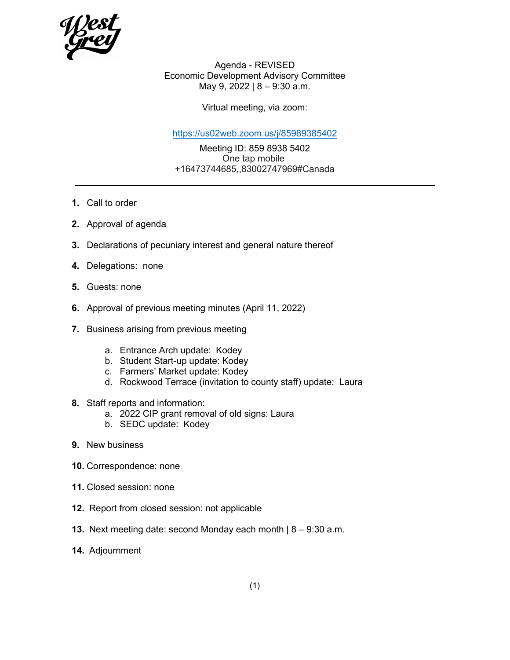

Agenda - REVISED Economic Development Advisory Committee May 9, 2022 | 8 – 9:30 a.m.

Virtual meeting, via zoom:

<https://us02web.zoom.us/j/85989385402>

Meeting ID: 859 8938 5402 One tap mobile +16473744685,,83002747969#Canada

**1.** Call to order

- **2.** Approval of agenda
- **3.** Declarations of pecuniary interest and general nature thereof
- **4.** Delegations: none
- **5.** Guests: none
- **6.** Approval of previous meeting minutes (April 11, 2022)
- **7.** Business arising from previous meeting
	- a. Entrance Arch update: Kodey
	- b. Student Start-up update: Kodey
	- c. Farmers' Market update: Kodey
	- d. Rockwood Terrace (invitation to county staff) update: Laura
- **8.** Staff reports and information:
	- a. 2022 CIP grant removal of old signs: Laura
	- b. SEDC update: Kodey
- **9.** New business
- **10.** Correspondence: none
- **11.** Closed session: none
- **12.** Report from closed session: not applicable
- **13.** Next meeting date: second Monday each month | 8 9:30 a.m.
- **14.** Adjournment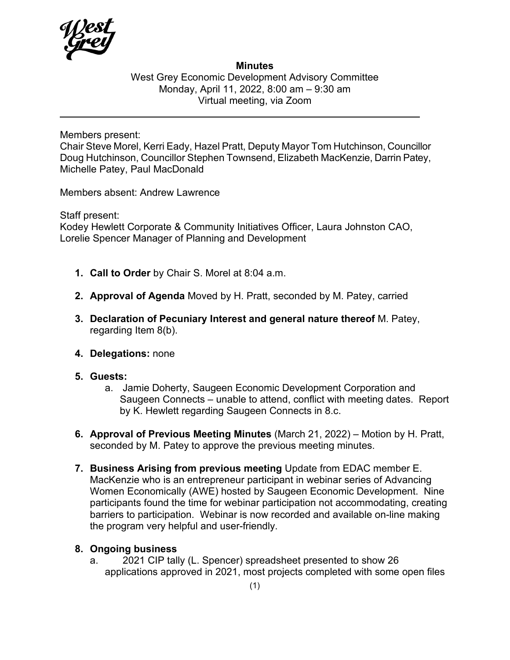

## **Minutes**

West Grey Economic Development Advisory Committee Monday, April 11, 2022, 8:00 am – 9:30 am Virtual meeting, via Zoom

Members present:

Chair Steve Morel, Kerri Eady, Hazel Pratt, Deputy Mayor Tom Hutchinson, Councillor Doug Hutchinson, Councillor Stephen Townsend, Elizabeth MacKenzie, Darrin Patey, Michelle Patey, Paul MacDonald

Members absent: Andrew Lawrence

Staff present:

Kodey Hewlett Corporate & Community Initiatives Officer, Laura Johnston CAO, Lorelie Spencer Manager of Planning and Development

- **1. Call to Order** by Chair S. Morel at 8:04 a.m.
- **2. Approval of Agenda** Moved by H. Pratt, seconded by M. Patey, carried
- **3. Declaration of Pecuniary Interest and general nature thereof** M. Patey, regarding Item 8(b).
- **4. Delegations:** none
- **5. Guests:** 
	- a. Jamie Doherty, Saugeen Economic Development Corporation and Saugeen Connects – unable to attend, conflict with meeting dates. Report by K. Hewlett regarding Saugeen Connects in 8.c.
- **6. Approval of Previous Meeting Minutes** (March 21, 2022) Motion by H. Pratt, seconded by M. Patey to approve the previous meeting minutes.
- **7. Business Arising from previous meeting** Update from EDAC member E. MacKenzie who is an entrepreneur participant in webinar series of Advancing Women Economically (AWE) hosted by Saugeen Economic Development. Nine participants found the time for webinar participation not accommodating, creating barriers to participation. Webinar is now recorded and available on-line making the program very helpful and user-friendly.

## **8. Ongoing business**

a. 2021 CIP tally (L. Spencer) spreadsheet presented to show 26 applications approved in 2021, most projects completed with some open files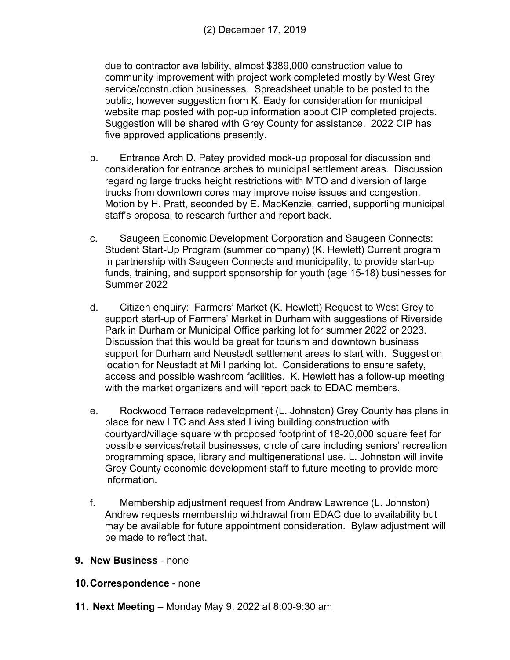(2) December 17, 2019

due to contractor availability, almost \$389,000 construction value to community improvement with project work completed mostly by West Grey service/construction businesses. Spreadsheet unable to be posted to the public, however suggestion from K. Eady for consideration for municipal website map posted with pop-up information about CIP completed projects. Suggestion will be shared with Grey County for assistance. 2022 CIP has five approved applications presently.

- b. Entrance Arch D. Patey provided mock-up proposal for discussion and consideration for entrance arches to municipal settlement areas. Discussion regarding large trucks height restrictions with MTO and diversion of large trucks from downtown cores may improve noise issues and congestion. Motion by H. Pratt, seconded by E. MacKenzie, carried, supporting municipal staff's proposal to research further and report back.
- c. Saugeen Economic Development Corporation and Saugeen Connects: Student Start-Up Program (summer company) (K. Hewlett) Current program in partnership with Saugeen Connects and municipality, to provide start-up funds, training, and support sponsorship for youth (age 15-18) businesses for Summer 2022
- d. Citizen enquiry: Farmers' Market (K. Hewlett) Request to West Grey to support start-up of Farmers' Market in Durham with suggestions of Riverside Park in Durham or Municipal Office parking lot for summer 2022 or 2023. Discussion that this would be great for tourism and downtown business support for Durham and Neustadt settlement areas to start with. Suggestion location for Neustadt at Mill parking lot. Considerations to ensure safety, access and possible washroom facilities. K. Hewlett has a follow-up meeting with the market organizers and will report back to EDAC members.
- e. Rockwood Terrace redevelopment (L. Johnston) Grey County has plans in place for new LTC and Assisted Living building construction with courtyard/village square with proposed footprint of 18-20,000 square feet for possible services/retail businesses, circle of care including seniors' recreation programming space, library and multigenerational use. L. Johnston will invite Grey County economic development staff to future meeting to provide more information.
- f. Membership adjustment request from Andrew Lawrence (L. Johnston) Andrew requests membership withdrawal from EDAC due to availability but may be available for future appointment consideration. Bylaw adjustment will be made to reflect that.
- **9. New Business** none
- **10.Correspondence**  none
- **11. Next Meeting** Monday May 9, 2022 at 8:00-9:30 am